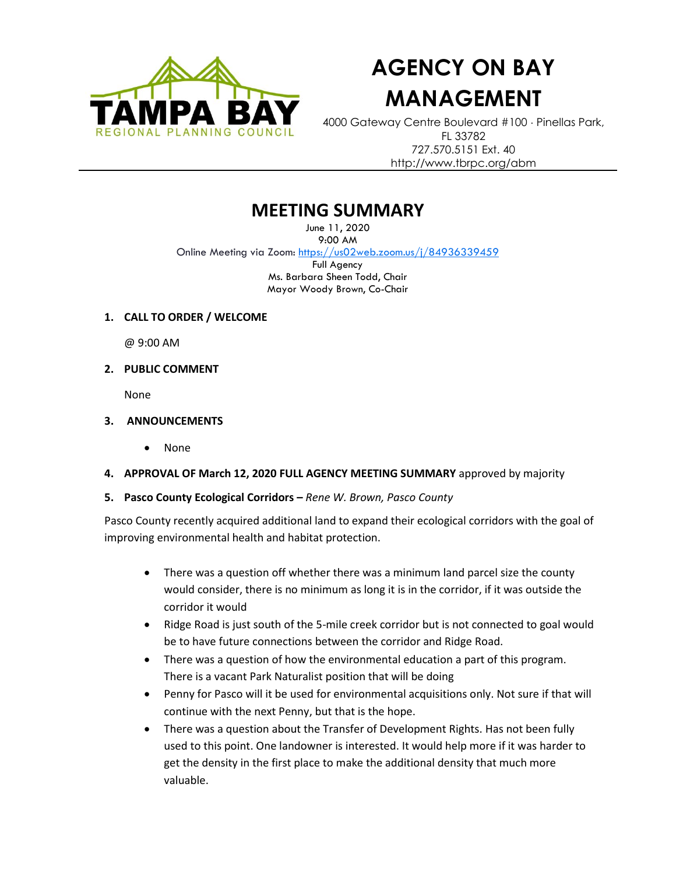

# **AGENCY ON BAY MANAGEMENT**

4000 Gateway Centre Boulevard #100 Pinellas Park, FL 33782 727.570.5151 Ext. 40 http://www.tbrpc.org/abm

## **MEETING SUMMARY**

June 11, 2020 9:00 AM Online Meeting via Zoom: <https://us02web.zoom.us/j/84936339459> Full Agency Ms. Barbara Sheen Todd, Chair Mayor Woody Brown, Co-Chair

**1. CALL TO ORDER / WELCOME** 

@ 9:00 AM

**2. PUBLIC COMMENT** 

None

- **3. ANNOUNCEMENTS** 
	- None
- **4. APPROVAL OF March 12, 2020 FULL AGENCY MEETING SUMMARY** approved by majority
- **5. Pasco County Ecological Corridors –** *Rene W. Brown, Pasco County*

Pasco County recently acquired additional land to expand their ecological corridors with the goal of improving environmental health and habitat protection.

- There was a question off whether there was a minimum land parcel size the county would consider, there is no minimum as long it is in the corridor, if it was outside the corridor it would
- Ridge Road is just south of the 5-mile creek corridor but is not connected to goal would be to have future connections between the corridor and Ridge Road.
- There was a question of how the environmental education a part of this program. There is a vacant Park Naturalist position that will be doing
- Penny for Pasco will it be used for environmental acquisitions only. Not sure if that will continue with the next Penny, but that is the hope.
- There was a question about the Transfer of Development Rights. Has not been fully used to this point. One landowner is interested. It would help more if it was harder to get the density in the first place to make the additional density that much more valuable.